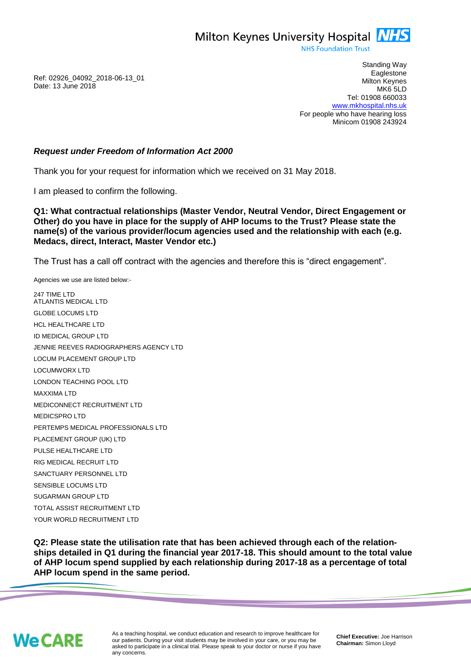Milton Keynes University Hospital **NHS** 

**NHS Foundation Trust** 

Ref: 02926\_04092\_2018-06-13\_01 Date: 13 June 2018

Standing Way **Eaglestone** Milton Keynes MK6 5LD Tel: 01908 660033 [www.mkhospital.nhs.uk](http://www.mkhospital.nhs.uk/) For people who have hearing loss Minicom 01908 243924

## *Request under Freedom of Information Act 2000*

Thank you for your request for information which we received on 31 May 2018.

I am pleased to confirm the following.

**Q1: What contractual relationships (Master Vendor, Neutral Vendor, Direct Engagement or Other) do you have in place for the supply of AHP locums to the Trust? Please state the name(s) of the various provider/locum agencies used and the relationship with each (e.g. Medacs, direct, Interact, Master Vendor etc.)**

The Trust has a call off contract with the agencies and therefore this is "direct engagement".

Agencies we use are listed below:- 247 TIME LTD ATLANTIS MEDICAL LTD GLOBE LOCUMS LTD HCL HEALTHCARE LTD ID MEDICAL GROUP LTD JENNIE REEVES RADIOGRAPHERS AGENCY LTD LOCUM PLACEMENT GROUP LTD LOCUMWORX LTD LONDON TEACHING POOL LTD MAXXIMA LTD MEDICONNECT RECRUITMENT LTD MEDICSPRO LTD PERTEMPS MEDICAL PROFESSIONALS LTD PLACEMENT GROUP (UK) LTD PULSE HEALTHCARE LTD RIG MEDICAL RECRUIT LTD SANCTUARY PERSONNEL LTD SENSIBLE LOCUMS LTD SUGARMAN GROUP LTD TOTAL ASSIST RECRUITMENT LTD YOUR WORLD RECRUITMENT LTD

**Q2: Please state the utilisation rate that has been achieved through each of the relationships detailed in Q1 during the financial year 2017-18. This should amount to the total value of AHP locum spend supplied by each relationship during 2017-18 as a percentage of total AHP locum spend in the same period.**